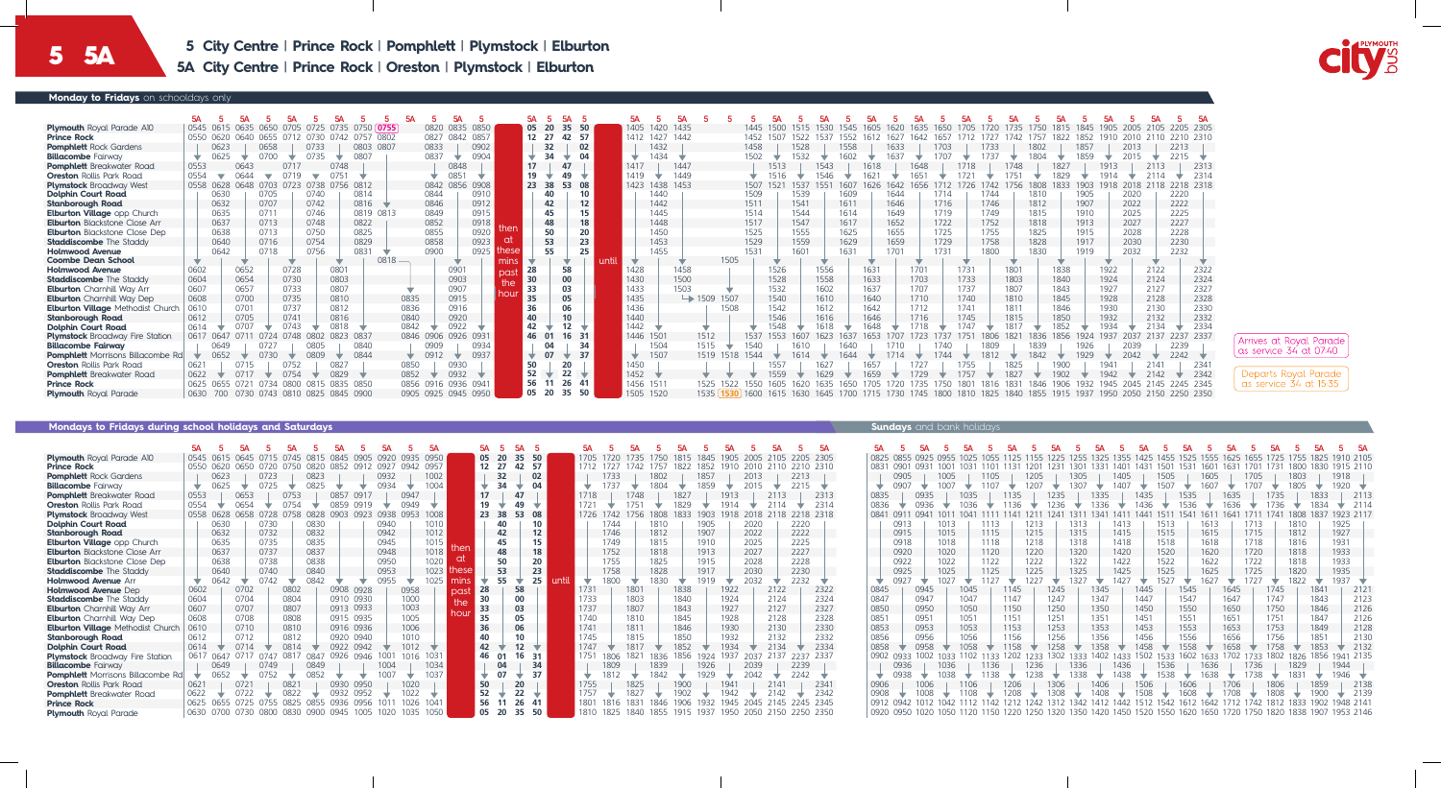| Monday to Fridays on schooldays only     |      |           |              |                                        |                |           |           |                     |      |      |       |                 |                 |      |           |                |                         |           |      |              |      |      |      |      |      |      |              |      |                  |       |              |                                                                            |          |
|------------------------------------------|------|-----------|--------------|----------------------------------------|----------------|-----------|-----------|---------------------|------|------|-------|-----------------|-----------------|------|-----------|----------------|-------------------------|-----------|------|--------------|------|------|------|------|------|------|--------------|------|------------------|-------|--------------|----------------------------------------------------------------------------|----------|
|                                          |      |           |              |                                        |                |           |           |                     |      |      |       |                 |                 |      |           |                |                         |           |      |              |      |      |      |      |      |      |              |      |                  |       |              |                                                                            |          |
|                                          |      |           |              |                                        |                |           |           |                     |      |      |       | 5А              |                 |      |           |                |                         |           |      |              |      |      |      |      |      |      |              |      |                  |       |              |                                                                            |          |
| <b>Plymouth</b> Royal Parade A10         |      | 0545 0615 | 0650<br>0635 | (1/1)5                                 | 0735<br>0725   |           | 0750 0755 | 0820 0835 0850      |      |      | 05 20 | 35              | 50              |      |           | 1405 1420 1435 |                         |           |      |              |      |      |      |      |      |      |              | 1750 |                  | 1905. |              |                                                                            | 205 2305 |
| <b>Prince Rock</b>                       | 0550 | 0620      | 0640<br>0655 |                                        | 0742<br>0730   | 0757 0802 |           | 0827 0842 0857      |      |      | 12 27 | 42              | - 57            |      | 1412      | 1427 1442      |                         |           | 1452 | 522          | 537  | 552  |      |      |      |      |              |      |                  |       |              |                                                                            | 2310     |
| <b>Pomphlett</b> Rock Gardens            |      | 0623      |              | 0658                                   | 0733           | 0803 0807 |           | 0833                | 0902 |      |       | 32              | 02              |      |           | 1432           |                         |           | 1458 | 1528         |      | 558  | 1633 |      |      |      | 1733         | 1802 | 1857             |       |              | 2213                                                                       |          |
| <b>Billacombe</b> Fairway                | ▽    | 0625      | 0700         |                                        | 0735           | 0807      |           | 0837                | 0904 |      |       | 34              | 04              |      |           | 1434           |                         |           | 1502 | 1532         |      |      | 1637 |      |      |      | 1737         | 1804 |                  |       |              |                                                                            |          |
| <b>Pomphlett</b> Breakwater Road         | 0553 |           | 0643         | 0717                                   | 0748           |           |           | 0848                |      |      | 17    | 47              |                 |      | 1417      | 1447           |                         |           |      | 1513         | 1543 |      | 1618 | 1648 |      |      | 1748         |      | 1827             | 1913  |              |                                                                            | 2313     |
| <b>Oreston</b> Rollis Park Road          | 0554 |           |              | N719                                   |                |           |           | 0851                |      |      | 19    |                 |                 |      | 1419      | 1449           |                         |           |      |              |      |      |      |      |      |      |              |      |                  |       |              |                                                                            | 2314     |
| <b>Plymstock Broadway West</b>           |      | 0558 0628 | 0648         | 0703 0723                              | 0738 0756 0812 |           |           | 0842 0856 0908      |      |      | 23 38 | 53              | 08              |      | 1423      | 1438 1453      |                         |           | 1507 | 537          |      |      |      |      |      |      |              |      | 190F             |       |              |                                                                            | 18 2318  |
| <b>Dolphin Court Road</b>                |      | 0630      | 0705         |                                        | 0740           | 0814      |           | 0844                | 0910 |      |       |                 | 10              |      |           | 440            |                         |           | 1509 | 1539         |      | 1609 | 1644 |      | 1714 |      | 1744         | 1810 | 1905             |       | 2020         | 2220                                                                       |          |
| <b>Stanborough Road</b>                  |      | 0632      | 0707         |                                        | 0742           | 0816      |           | 0846                | 0912 |      |       | 42              | 12 <sup>2</sup> |      |           | 1442           |                         |           | 1511 | 1541         |      | 1611 | 1646 |      | 1716 |      | 1746         | 1812 | 1907             |       | 2022         | 2222                                                                       |          |
| <b>Elburton Village opp Church</b>       |      | 0635      | 0711         |                                        | 0746           | 0819 0813 |           | 0849                | 0915 |      |       | 45              | 15              |      |           | 1445           |                         |           | 1514 | 1544         |      | 1614 | 1649 |      | 1719 |      | 1749         | 1815 | 1910             |       | 2025         | 2225                                                                       |          |
| <b>Elburton</b> Blackstone Close Arr     |      | 0637      | 0713         |                                        | 0748           | 0822      |           | 0852                | 0918 |      |       | 48              | 18              |      |           | 1448           |                         |           | 1517 | 1547         |      | 1617 | 1652 |      | 1722 |      | 1752         | 1818 | 1913             |       | 2027         | 2227                                                                       |          |
| <b>Elburton</b> Blackstone Close Dep     |      | 0638      | 0713         |                                        | 0750           | 0825      |           | 0855                | 0920 | hen  |       | 50              | 20              |      |           | 1450           |                         |           | 1525 | 1555         |      | 1625 | 1655 |      | 1725 |      | 1755         | 1825 | 1915             |       | 2028         | 2228                                                                       |          |
| <b>Staddiscombe</b> The Staddy           |      | 0640      | 0716         |                                        | 0754           | 0829      |           | 0858                | 0923 |      |       | 53              | 23              |      |           | 1453           |                         |           | 1529 | 1559         |      | 1629 | 1659 |      | 1729 |      | 1758         | 1828 | 1917             |       | 2030         | 2230                                                                       |          |
| <b>Holmwood Avenue</b>                   |      | 0642      | 0718         |                                        | 0756           | 0831      |           | 0900                | 0925 |      |       | 55              | 25              |      |           | 1455           |                         |           | 1531 | 1601         |      | 1631 | 1701 |      | 1731 |      | 1800         | 1830 | 1919             |       | 2032         | 2232                                                                       |          |
| <b>Coombe Dean School</b>                |      |           |              |                                        |                |           | 0818      |                     |      | mins |       |                 |                 | -unt |           |                |                         | 1505      |      |              |      |      |      |      |      |      |              |      |                  |       |              |                                                                            |          |
| <b>Holmwood Avenue</b>                   | 0602 |           | 0652         | 0728                                   | 0801           |           |           | 090 <sub>1</sub>    |      | pas  | 28    | 58              |                 |      | 428       |                | 1458                    |           |      | 1526         | 1556 |      | 1631 | 1701 |      | 1731 | 1801         |      | 1838             | 1922  | 2122         |                                                                            | 2322     |
| <b>Staddiscombe</b> The Staddy           | 0604 |           | 0654         | 0730                                   | 0803           |           |           | 0903                |      | the  | 30    | 00              |                 |      | 1430      |                | 1500                    |           |      | 1528         | 1558 |      | 1633 | 1703 |      | 1733 | 1803         |      | 1840             | 1924  |              | 2124                                                                       | 2324     |
| <b>Elburton</b> Charnhill Way Arr        | 0607 |           | 0657         | 0733                                   | 0807           |           |           | 0907                |      | hou  | 33    | 03              |                 |      | 1433      | 1503           |                         |           |      | 1532         | 1602 |      | 1637 | 1707 |      | 1737 | 1807         |      | 1843             | 1927  | 2127         |                                                                            | 2327     |
| <b>Elburton</b> Charnhill Way Dep        | 0608 |           | 0700         | 0735                                   | 0810           |           | 0835      | 0915                |      |      | 35    | 05              |                 |      | 1435      |                | $\rightarrow$ 1509 1507 |           |      | 1540         | 1610 |      | 1640 | 1710 |      | 1740 | 1810         |      | 1845             | 1928  | 2128         |                                                                            | 2328     |
| <b>Elburton Village Methodist Church</b> | 0610 |           | 0701         | 0737                                   | 0812           |           | 0836      | 0916                |      |      | 36    |                 |                 |      | 1436      |                |                         | 1508      |      | 1542         | 1612 |      | 1642 | 1712 |      | 1741 | 1811         |      | 1846             | 1930  |              | 2130                                                                       | 2330     |
| <b>Stanborough Road</b>                  | 0612 |           | 0705         | 0741                                   | 0816           |           | 0840      | 0920                |      |      | 40    |                 |                 |      | 1440      |                |                         |           |      | 1546         | 1616 |      | 1646 | 1716 |      | 1745 | 1815         |      | 1850             | 1932  | 2132         |                                                                            | 2332     |
| <b>Dolphin Court Road</b>                | 0614 |           |              |                                        | 0818           |           | 0842      | 0922                |      |      | 42    | 12              |                 |      | 1442      |                |                         |           |      |              |      |      |      |      |      |      |              |      |                  |       |              |                                                                            | 2334     |
| <b>Plymstock</b> Broadway Fire Station   |      | 0617 0647 | 071          | 0748<br>0724                           | 0802           | 0823 083  |           | 0846 0906 0926 0931 |      |      | 46 01 |                 | 16 31           |      | 1446 1501 |                | 1512                    |           | 1537 | 553<br>607   | 1623 | 1637 | 1653 |      |      | 1751 | 1821<br>1806 | 1836 | 1856<br>1924     | 1937  | 2137<br>2037 | 2237 2337                                                                  |          |
| <b>Billacombe Fairway</b>                |      | 0649      | 0727         |                                        | 0805           | 0840      |           | 0909                | 0934 |      |       | 04              | 34              |      |           | 1504           | 1515                    |           | 1540 | 1610         |      | 1640 | 1710 |      | 1740 |      | 1809         | 1839 | 1926             |       | 2039         | 2239                                                                       |          |
| <b>Pomphlett</b> Morrisons Billacombe Rd |      | 0652      | 0730         |                                        | 0809           | 0844      |           | 0912                | 0937 |      |       | 07              | 37              |      | ₩         | 1507           |                         | 1519 1518 | 1544 |              |      |      |      |      |      |      |              |      | 1929             |       |              |                                                                            |          |
| <b>Oreston</b> Rollis Park Road          | 0621 |           | 0715         |                                        | 0827           |           | 0850      | 0930                |      |      | 50    | 20              |                 |      | 1450      |                |                         |           |      | 1557         |      |      | 1657 |      |      | 1755 | 1825         |      | 1900             | 1941  |              |                                                                            | 2341     |
| <b>Pomphlett</b> Breakwater Road         | 0622 |           | 071          |                                        | 0829           |           | 0852      | 0932                |      |      | 52    | 22 <sub>1</sub> | $\rightarrow$   |      | 1452      |                |                         |           |      | 1559         |      |      |      |      |      |      |              |      | 190 <sub>2</sub> |       |              |                                                                            | 2342     |
| <b>Prince Rock</b>                       | 0625 | 0655      | 0721         | 0800<br>0734                           | 0835<br>0815   | 0850      |           | 0856 0916 0936 094  |      |      | 56    | 26 41           |                 |      | 1456      | 1511           |                         |           |      |              |      |      |      |      |      |      |              |      |                  |       |              |                                                                            | 45 2345  |
| <b>Plymouth Royal Parade</b>             |      |           |              | 0630 700 0730 0743 0810 0825 0845 0900 |                |           |           | 0905 0925 0945 0950 |      |      | 05 20 | 35              | 50              |      | 1505 1520 |                | 1535                    | 1530      | 1600 | 1615<br>1630 | 1645 | 1700 |      |      |      |      |              |      |                  |       |              | 1715 1730 1745 1800 1810 1825 1840 1855 1915 1937 1950 2050 2150 2250 2350 |          |

| <b>Plymouth</b> Royal Parade A10         |      | 0545 0615 |      |           |      |           |           |           |       |      | 0950 |       | 05    |    | 50<br>35  |     |             | 1705 |      |      |       |      |      | 1905 |      |      |      | 2305      | 0825 |      | 0925 |      |      |                     |      |           |      |
|------------------------------------------|------|-----------|------|-----------|------|-----------|-----------|-----------|-------|------|------|-------|-------|----|-----------|-----|-------------|------|------|------|-------|------|------|------|------|------|------|-----------|------|------|------|------|------|---------------------|------|-----------|------|
| <b>Prince Rock</b>                       |      | 0550 0620 |      |           |      | 0820      | 0852      | 091       | 0927  | 0942 | 0957 |       | 12 27 |    | -57<br>42 |     |             | 1712 |      |      |       |      | 1852 |      |      |      |      | - 2310    |      | 0901 |      |      |      |                     |      |           |      |
| <b>Pomphlett</b> Rock Gardens            |      | 0623      |      | 0723      |      | 0823      |           |           | 0932  |      | 1002 |       |       | 32 |           | 02  |             |      | 1733 |      | 1802  |      | 1857 |      | 2013 |      | 2213 |           |      | 0905 |      | 1005 |      | 1105                |      | 1205      |      |
| <b>Billacombe</b> Fairway                | ▽    | 0625      |      | 0725      |      | 0825      |           |           | 0934  |      | 1004 |       |       | 34 | ▽         | 04  |             | ÷    |      |      | 1804  |      | 1859 |      | 2015 | v.   | 2215 |           | ÷    | 090  |      |      |      |                     |      |           |      |
| <b>Pomphlett</b> Breakwater Road         | 0553 |           | 0653 |           | 0753 |           | 0857      | 0917      |       | 0947 |      |       | 17    |    | 47        |     |             | 1718 |      | 1748 |       | 1827 |      | 1913 |      |      |      | 2313      | 0835 |      | 0935 |      | 035  |                     | 1135 |           | 1235 |
| <b>Oreston Rollis Park Road</b>          | 0554 |           |      |           |      |           | 0859      | 0919      |       | 0949 |      |       | 19    |    |           |     |             | 1721 |      |      |       | 1829 |      | 1914 |      |      |      | 2314      | 0836 |      | 0936 |      | กวร  |                     | 1136 |           | 1236 |
| <b>Plymstock Broadway West</b>           |      | 0558 0628 |      |           |      | 0828      | 0903      | 0923      | 0938. | 0953 | 1008 |       | 23    | 38 | 53        | 08  |             | 1726 | 742  | /56  |       | 833  | 903  | 1918 |      |      |      | 2218 2318 | 084  | ()Y' | 094  |      |      |                     |      |           |      |
| <b>Dolphin Court Road</b>                |      | 0630      |      | 0730      |      | 0830      |           |           | 0940  |      | 1010 |       |       | 40 |           |     |             |      | 1744 |      | 1810  |      | 1905 |      | 2020 |      | 2220 |           |      | 0913 |      | 1013 |      | 1113                |      | 1213      |      |
| <b>Stanborough Road</b>                  |      | 0632      |      | 0732      |      | 0832      |           |           | 0942  |      | 1012 |       |       | 42 |           | 12  |             |      | 1746 |      | 1812  |      | 1907 |      | 2022 |      | 2222 |           |      | 0915 |      | 1015 |      | 1115                |      | 1215      |      |
| <b>Elburton Village opp Church</b>       |      | 0635      |      | 0735      |      | 0835      |           |           | 0945  |      | 1015 |       |       | 45 |           | 15  |             |      | 1749 |      | 1815  |      | 1910 |      | 2025 |      | 2225 |           |      | 0918 |      | 1018 |      | 1118                |      | 1218      |      |
| <b>Elburton</b> Blackstone Close Arr     |      | 0637      |      | 0737      |      | 0837      |           |           | 0948  |      | 1018 | then  |       | 48 |           | 18  |             |      | 1752 |      | 1818  |      | 1913 |      | 2027 |      | 2227 |           |      | 0920 |      | 1020 |      | 1120                |      | 1220      |      |
| <b>Elburton</b> Blackstone Close Dep     |      | 0638      |      | 0738      |      | 0838      |           |           | 0950  |      | 1020 | αt    |       | 50 |           | 20  |             |      | 1755 |      | 1825  |      | 1915 |      | 2028 |      | 2228 |           |      | 0922 |      | 1022 |      | 1122                |      | 1222      |      |
| <b>Staddiscombe</b> The Staddy           |      | 0640      |      | 0740      |      | 0840      |           |           | 0953  |      | 1023 | these |       | 53 |           | 23  |             |      | 1758 |      | 1828  |      | 1917 |      | 2030 |      | 2230 |           |      | 0925 |      | 1025 |      | 1125                |      | 1225      |      |
| <b>Holmwood Avenue Arr</b>               |      | 0642      |      | 0742      |      | 0842      |           |           | 0955  |      | 1025 | mins  |       |    |           | 25  | <b>unti</b> |      | 1800 |      | 1830  |      | 1919 |      | 2032 |      | 2232 |           | ÷    | 0927 |      | 1027 |      |                     |      |           |      |
| Holmwood Avenue Dep                      | 0602 |           | 0702 |           | 0802 |           |           | 0908 0928 |       | 0958 |      | past  | 28    |    | 58        |     |             | 1731 |      | 1801 |       | 1838 |      | 1922 |      | 2122 |      | 2322      | 0845 |      | 0945 |      | 1045 |                     | 1145 |           | 1245 |
| <b>Staddiscombe</b> The Staddy           | 0604 |           | 0704 |           | 0804 |           |           | 0910 0930 |       | 1000 |      | the   | 30    |    |           |     |             | 1733 |      | 1803 |       | 1840 |      | 1924 |      | 2124 |      | 2324      | 0847 |      | 0947 |      | 1047 |                     | 1147 |           | 1247 |
| <b>Elburton</b> Charnhill Way Arr        | 0607 |           | 0707 |           | 0807 |           |           | 0913 0933 |       | 1003 |      | hou   | 33    |    | 03        |     |             | 1737 |      | 1807 |       | 1843 |      | 1927 |      | 2127 |      | 2327      | 0850 |      | 0950 |      | 1050 |                     | 1150 |           | 1250 |
| <b>Elburton</b> Charnhill Way Dep        | 0608 |           | 0708 |           | 0808 |           |           | 0915 0935 |       | 1005 |      |       | 35    |    | 05        |     |             | 1740 |      | 1810 |       | 1845 |      | 1928 |      | 2128 |      | 2328      | 0851 |      | 0951 |      | 1051 |                     | 1151 |           | 1251 |
| <b>Elburton Village Methodist Church</b> | 0610 |           | 0710 |           | 0810 |           |           | 0916 0936 |       | 1006 |      |       | 36    |    | 06        |     |             | 1741 |      | 1811 |       | 1846 |      | 1930 |      | 2130 |      | 2330      | 0853 |      | 0953 |      | 1053 |                     | 1153 |           | 1253 |
| <b>Stanborough Road</b>                  | 0612 |           | 0712 |           | 0812 |           |           | 0920 0940 |       | 1010 |      |       | 40    |    |           |     |             | 1745 |      | 1815 |       | 1850 |      | 1932 |      | 2132 |      | 2332      | 0856 |      | 0956 |      | 1056 |                     | 1156 |           | 1256 |
| <b>Dolphin Court Road</b>                | 0614 |           | 0714 |           | 0814 |           |           | 0922 0942 |       | 1012 |      |       | 42    |    |           |     |             | 1747 |      |      |       | 1852 |      | 1934 |      | 2134 |      | 2334      | 0858 |      | 0958 |      | 058  |                     | 1158 |           | 1258 |
| <b>Plymstock</b> Broadway Fire Station   |      | 0617 0647 | 0717 | 0747      | 0817 | 0847      | 0926 0946 |           |       | 1016 | 1031 |       | 46    | 01 | -31       |     |             | 1751 | 1806 |      | 836   | 1856 | 1924 | 1937 | 2037 |      | 2237 | 2337      | 0902 | 0933 | 1002 | 033  |      | 1133                | 1202 |           | 1302 |
| <b>Billacombe</b> Fairway                |      | 0649      |      | 0749      |      | 0849      |           |           | 1004  |      | 1034 |       |       | 04 |           | 34  |             |      | 1809 |      | 1839  |      | 1926 |      | 2039 |      | 2239 |           |      | 0936 |      | 1036 |      | 1136                |      | 1236      |      |
| <b>Pomphlett</b> Morrisons Billacombe Rd |      | 0652      |      | 0752      |      | 0852      |           |           |       |      | 1037 |       |       | 07 |           | 37  |             | ÷    | 1812 |      | 1842  |      | 1929 |      | 2042 |      | 2242 |           |      | 0938 |      | 1038 |      | 138                 |      |           |      |
| <b>Oreston Rollis Park Road</b>          | 062' |           | 072  |           | 082  |           | 0930      | 0950      |       | 1020 |      |       | 50    |    | 20        |     |             | 1755 |      | 1825 |       | 1900 |      | 194  |      | 2141 |      | 2341      | 0906 |      | 1006 |      | 1106 |                     | 1206 |           | 1306 |
| <b>Pomphlett</b> Breakwater Road         | 0622 |           |      |           |      |           | 0932      | 7952      |       | 022  |      |       | 52    |    | 22        |     |             | 1757 |      |      |       | 1902 |      |      |      |      |      | 2342      | 0908 |      |      |      | 108. |                     |      |           | 1308 |
| <b>Prince Rock</b>                       | 0625 |           |      |           |      |           | 0936      |           |       |      |      |       | 56    |    | 26<br>-41 |     |             | 1801 |      |      |       |      |      | 1945 |      |      |      | 2245 2345 |      |      |      |      |      |                     |      |           |      |
| <b>Plymouth</b> Royal Parade             |      | 0630 0700 |      | 0730 0800 |      | 0830 0900 | 0945      | 1005      | 1020  | 035  |      |       | 05 20 |    | 35        | -50 |             | 1810 | 1825 | 1840 | 1855. | 1915 | 1937 | 1950 | 2050 | 2150 |      | 2250 2350 |      | 0950 | 1020 |      |      | 1050 1120 1150 1220 |      | 1250 1320 |      |



 $\overline{\phantom{a}}$ 

| Arrives at Royal Parade<br>as service 34 at 07:40 |  |
|---------------------------------------------------|--|
|                                                   |  |

| Departs Royal Parade   |
|------------------------|
| as service 34 at 15:35 |

| <b>5A</b>    | 5            | 5Α        | 5    | 5Α   | 5    | 5Α   | 5    | 5Α               | 5            | 5Α        | 5                                                                                      | 5Α        | 5           | 5Α        | 5            | 5Α        | 5    | 5Α        | 5                   | 5Α        | 5            | <b>5A</b> |
|--------------|--------------|-----------|------|------|------|------|------|------------------|--------------|-----------|----------------------------------------------------------------------------------------|-----------|-------------|-----------|--------------|-----------|------|-----------|---------------------|-----------|--------------|-----------|
| 0825         | 0855         | 0925      | 0955 | 1025 | 1055 |      | 1155 | 1225             | 1255         | 1325      | 1355                                                                                   | 1425      | 1455        | 1525      | 1555         | 1625      | 1655 | 1725      | 1755                | 1825      | 1910         | 2105      |
| 0831         | 0901<br>0905 | 0931      | 1005 |      | 1105 |      | 1205 | 23'              | 1301<br>1305 | 133.      | 401<br>1405                                                                            |           | 501<br>1505 | 531       | 1601<br>1605 | 1631      | 1705 | 173       | 1800<br>1803        | 1830      | 1915<br>1918 | 2110      |
|              | 0907         | ▽         | 1007 |      | 1107 |      | 1207 |                  | 1307         | ÷         | 1407                                                                                   |           | 1507        | ▽         | 1607         | v         | 1707 | v         | 1805                |           | 1920         | v         |
| 0835         |              | 0935      |      | 1035 |      | 1135 |      | 1235             |              | 1335      |                                                                                        | 1435      |             | 1535      |              | 1635      |      | 1735      |                     | 1833      |              | 2113      |
| 0836         |              | 0936      |      | 1036 |      | 1136 |      | 1236             |              | 1336      |                                                                                        | 1436      |             | 1536      |              | 1636      |      | 1736      |                     | 1834      |              | 2114      |
| 0841         | 0911         | 094'      |      |      |      |      |      | 124 <sup>.</sup> | 131          | 34'       | 41                                                                                     | 1441      | 1511        | 1541      | 1611         | 1641      |      | 174'      | 1808 1837           |           | 1923 2117    |           |
|              | 0913         |           | 1013 |      | 1113 |      | 1213 |                  | 1313         |           | 1413                                                                                   |           | 1513        |           | 1613         |           | 1713 |           | 1810                |           | 1925         |           |
|              | 0915         |           | 1015 |      | 1115 |      | 1215 |                  | 1315         |           | 1415                                                                                   |           | 1515        |           | 1615         |           | 1715 |           | 1812                |           | 1927         |           |
|              | 0918         |           | 1018 |      | 1118 |      | 1218 |                  | 1318         |           | 1418                                                                                   |           | 1518        |           | 1618         |           | 1718 |           | 1816                |           | 1931         |           |
|              | 0920         |           | 1020 |      | 1120 |      | 1220 |                  | 1320         |           | 1420                                                                                   |           | 1520        |           | 1620         |           | 1720 |           | 1818                |           | 1933         |           |
|              | 0922         |           | 1022 |      | 1122 |      | 1222 |                  | 1322         |           | 1422                                                                                   |           | 1522        |           | 1622         |           | 1722 |           | 1818                |           | 1933         |           |
|              | 0925         |           | 1025 |      | 1125 |      | 1225 |                  | 1325         |           | 1425                                                                                   |           | 1525        |           | 1625         |           | 1725 |           | 1820                |           | 1935         |           |
| 0845         | 0927         | ▼<br>0945 | 1027 | 1045 | 1127 | 1145 | 1227 | 1245             | 1327         | ▽<br>1345 | 1427                                                                                   | v<br>1445 | 1527        | v<br>1545 | 1627         | ▽<br>1645 | 1727 | ▽<br>1745 | 1822                | v<br>1841 | 1937         | v<br>2121 |
| 0847         |              | 0947      |      | 1047 |      | 1147 |      | 1247             |              | 1347      |                                                                                        | 1447      |             | 1547      |              | 1647      |      | 1747      |                     | 1843      |              | 2123      |
| 0850         |              | 0950      |      | 1050 |      | 1150 |      | 1250             |              | 1350      |                                                                                        | 1450      |             | 1550      |              | 1650      |      | 1750      |                     | 1846      |              | 2126      |
| 0851         |              | 0951      |      | 1051 |      | 1151 |      | 1251             |              | 1351      |                                                                                        | 1451      |             | 1551      |              | 1651      |      | 1751      |                     | 1847      |              | 2126      |
| 0853         |              | 0953      |      | 1053 |      | 1153 |      | 1253             |              | 1353      |                                                                                        | 1453      |             | 1553      |              | 1653      |      | 1753      |                     | 1849      |              | 2128      |
| 0856         |              | 0956      |      | 1056 |      | 1156 |      | 1256             |              | 1356      |                                                                                        | 1456      |             | 1556      |              | 1656      |      | 1756      |                     | 1851      |              | 2130      |
| 0858         |              | 0958      |      | 1058 |      | 1158 | ÷    | 1258             |              | 1358      | ÷                                                                                      | 1458      | ₩           | 1558      |              | 1658      |      | 1758      |                     | 1853      |              | 2132      |
| 0902         | 0933         | 1002      | 1033 | 1102 | 1133 | 1202 | 1233 | 1302             | 1333         |           | 1402 1433 1502 1533 1602 1633 1702                                                     |           |             |           |              |           | 1733 |           | 1802 1826 1856 1941 |           |              | 2135      |
|              | 0936         |           | 1036 |      | 1136 |      | 1236 |                  | 1336         |           | 1436                                                                                   |           | 1536        |           | 1636         |           | 1736 |           | 1829                |           | 1944         |           |
|              | 0938         |           | 1038 |      | 1138 |      | 1238 |                  | 1338         |           | 1438                                                                                   | ÷         | 1538        |           | 1638         |           | 1738 |           | 1831                |           | 1946         |           |
| 0906         |              | 1006      |      | 1106 |      | 1206 |      | 1306             |              | 1406      |                                                                                        | 1506      |             | 1606      |              | 1706      |      | 1806      |                     | 1859      |              | 2138      |
| 0908         | 0942         | 1008      |      | 1108 |      | 1208 |      | 1308             |              | 1408      |                                                                                        | 1508      |             | 1608      |              | 1708      |      | 1808      |                     | 1900      |              | 2139      |
| 0912<br>0920 | 0950 1020    | 1012      | 1050 | 1120 | 1150 | 1220 | 242  | 1312             | 342          | 1412      | 442<br>1250 1320 1350 1420 1450 1520 1550 1620 1650 1720 1750 1820 1838 1907 1953 2146 | 1512      | 542         | 1612      | 1642         | 1712      | 1742 | 1812      | 1833                | 1902      | 1948         | 2141      |
|              |              |           |      |      |      |      |      |                  |              |           |                                                                                        |           |             |           |              |           |      |           |                     |           |              |           |

**Sundays** and bank holidays

**City Centre** | **Prince Rock** | **Pomphlett** | **Plymstock** | **Elburton 5 City Centre** | **Prince Rock** | **Oreston** | **Plymstock** | **Elburton 5A**

## **Mondays to Fridays during school holidays and Saturdays**